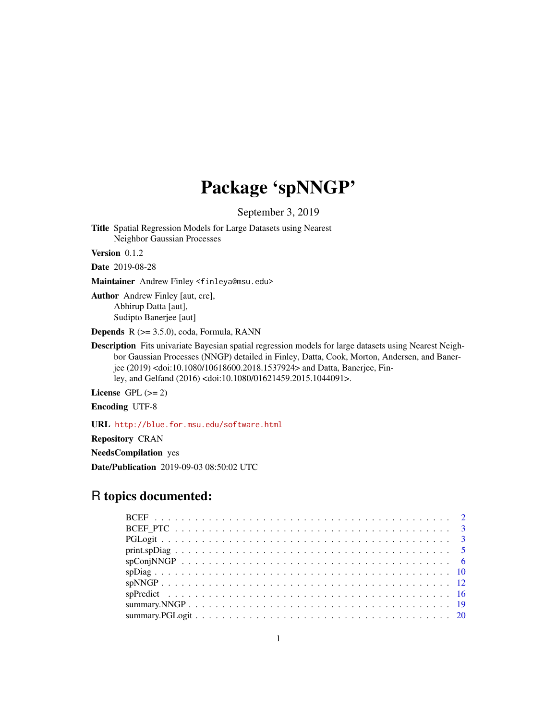## Package 'spNNGP'

September 3, 2019

<span id="page-0-0"></span>Title Spatial Regression Models for Large Datasets using Nearest Neighbor Gaussian Processes

Version 0.1.2

Date 2019-08-28

Maintainer Andrew Finley <finleya@msu.edu>

Author Andrew Finley [aut, cre], Abhirup Datta [aut], Sudipto Banerjee [aut]

Depends R (>= 3.5.0), coda, Formula, RANN

Description Fits univariate Bayesian spatial regression models for large datasets using Nearest Neighbor Gaussian Processes (NNGP) detailed in Finley, Datta, Cook, Morton, Andersen, and Banerjee (2019) <doi:10.1080/10618600.2018.1537924> and Datta, Banerjee, Finley, and Gelfand (2016) <doi:10.1080/01621459.2015.1044091>.

License GPL  $(>= 2)$ 

Encoding UTF-8

URL <http://blue.for.msu.edu/software.html>

Repository CRAN

NeedsCompilation yes

Date/Publication 2019-09-03 08:50:02 UTC

## R topics documented: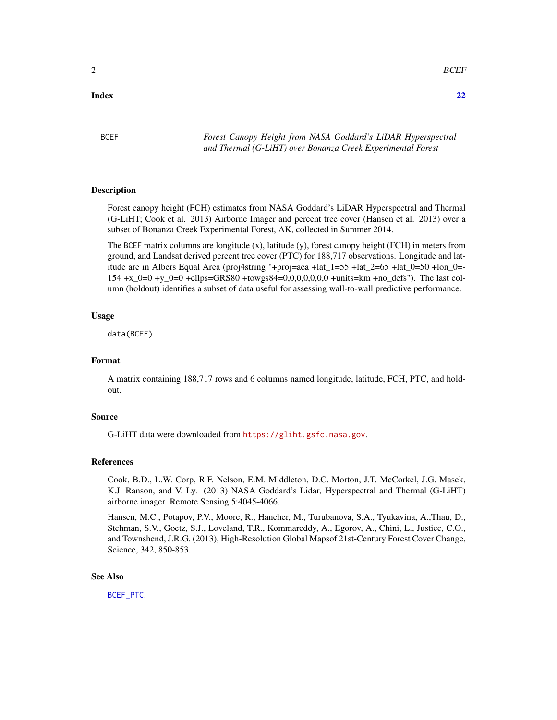#### <span id="page-1-0"></span>**Index** [22](#page-21-0)

<span id="page-1-1"></span>BCEF *Forest Canopy Height from NASA Goddard's LiDAR Hyperspectral and Thermal (G-LiHT) over Bonanza Creek Experimental Forest*

#### Description

Forest canopy height (FCH) estimates from NASA Goddard's LiDAR Hyperspectral and Thermal (G-LiHT; Cook et al. 2013) Airborne Imager and percent tree cover (Hansen et al. 2013) over a subset of Bonanza Creek Experimental Forest, AK, collected in Summer 2014.

The BCEF matrix columns are longitude (x), latitude (y), forest canopy height (FCH) in meters from ground, and Landsat derived percent tree cover (PTC) for 188,717 observations. Longitude and latitude are in Albers Equal Area (proj4string "+proj=aea +lat\_1=55 +lat\_2=65 +lat\_0=50 +lon\_0=- 154 +x  $0=0$  +y  $0=0$  +ellps=GRS80 +towgs84=0,0,0,0,0,0,0 +units=km +no defs"). The last column (holdout) identifies a subset of data useful for assessing wall-to-wall predictive performance.

#### Usage

data(BCEF)

#### Format

A matrix containing 188,717 rows and 6 columns named longitude, latitude, FCH, PTC, and holdout.

#### Source

G-LiHT data were downloaded from <https://gliht.gsfc.nasa.gov>.

#### References

Cook, B.D., L.W. Corp, R.F. Nelson, E.M. Middleton, D.C. Morton, J.T. McCorkel, J.G. Masek, K.J. Ranson, and V. Ly. (2013) NASA Goddard's Lidar, Hyperspectral and Thermal (G-LiHT) airborne imager. Remote Sensing 5:4045-4066.

Hansen, M.C., Potapov, P.V., Moore, R., Hancher, M., Turubanova, S.A., Tyukavina, A.,Thau, D., Stehman, S.V., Goetz, S.J., Loveland, T.R., Kommareddy, A., Egorov, A., Chini, L., Justice, C.O., and Townshend, J.R.G. (2013), High-Resolution Global Mapsof 21st-Century Forest Cover Change, Science, 342, 850-853.

#### See Also

[BCEF\\_PTC](#page-2-1).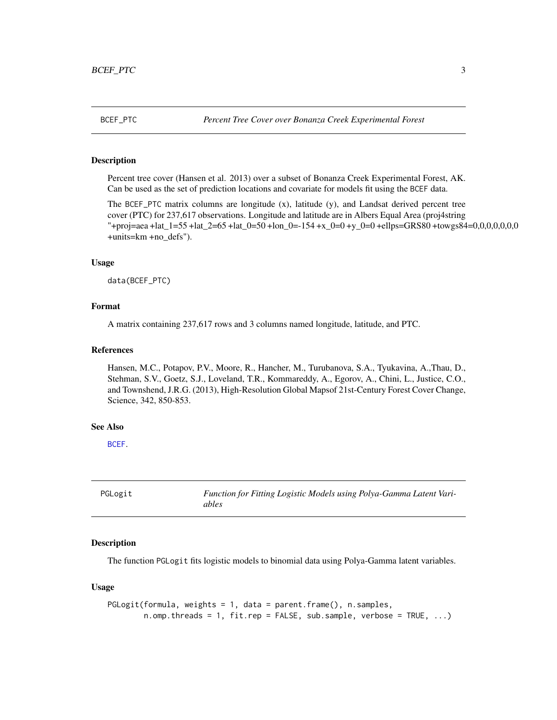<span id="page-2-1"></span><span id="page-2-0"></span>

#### Description

Percent tree cover (Hansen et al. 2013) over a subset of Bonanza Creek Experimental Forest, AK. Can be used as the set of prediction locations and covariate for models fit using the BCEF data.

The BCEF\_PTC matrix columns are longitude (x), latitude (y), and Landsat derived percent tree cover (PTC) for 237,617 observations. Longitude and latitude are in Albers Equal Area (proj4string "+proj=aea +lat\_1=55 +lat\_2=65 +lat\_0=50 +lon\_0=-154 +x\_0=0 +y\_0=0 +ellps=GRS80 +towgs84=0,0,0,0,0,0,0 +units=km +no\_defs").

#### Usage

data(BCEF\_PTC)

#### Format

A matrix containing 237,617 rows and 3 columns named longitude, latitude, and PTC.

#### References

Hansen, M.C., Potapov, P.V., Moore, R., Hancher, M., Turubanova, S.A., Tyukavina, A.,Thau, D., Stehman, S.V., Goetz, S.J., Loveland, T.R., Kommareddy, A., Egorov, A., Chini, L., Justice, C.O., and Townshend, J.R.G. (2013), High-Resolution Global Mapsof 21st-Century Forest Cover Change, Science, 342, 850-853.

#### See Also

[BCEF](#page-1-1).

PGLogit *Function for Fitting Logistic Models using Polya-Gamma Latent Variables*

#### **Description**

The function PGLogit fits logistic models to binomial data using Polya-Gamma latent variables.

#### Usage

```
PGLogit(formula, weights = 1, data = parent.frame(), n.samples,
        n.omp.threads = 1, fit.rep = FALSE, sub.sample, verbose = TRUE, \ldots)
```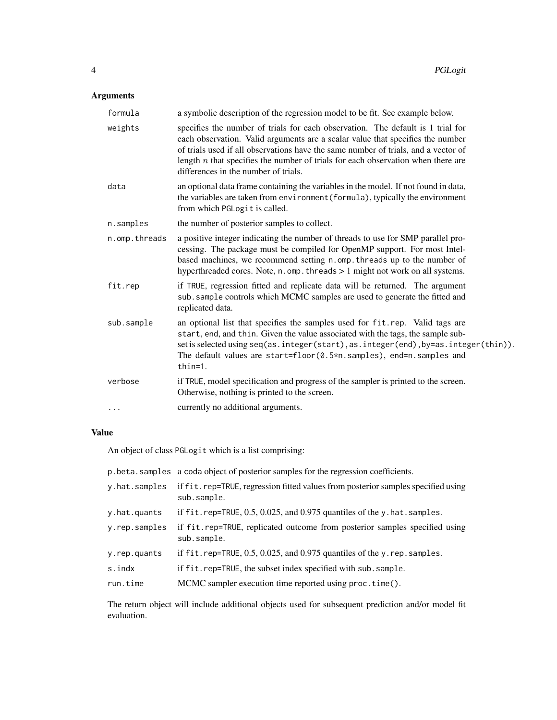## Arguments

| formula       | a symbolic description of the regression model to be fit. See example below.                                                                                                                                                                                                                                                                                                          |
|---------------|---------------------------------------------------------------------------------------------------------------------------------------------------------------------------------------------------------------------------------------------------------------------------------------------------------------------------------------------------------------------------------------|
| weights       | specifies the number of trials for each observation. The default is 1 trial for<br>each observation. Valid arguments are a scalar value that specifies the number<br>of trials used if all observations have the same number of trials, and a vector of<br>length $n$ that specifies the number of trials for each observation when there are<br>differences in the number of trials. |
| data          | an optional data frame containing the variables in the model. If not found in data,<br>the variables are taken from environment (formula), typically the environment<br>from which PGLogit is called.                                                                                                                                                                                 |
| n.samples     | the number of posterior samples to collect.                                                                                                                                                                                                                                                                                                                                           |
| n.omp.threads | a positive integer indicating the number of threads to use for SMP parallel pro-<br>cessing. The package must be compiled for OpenMP support. For most Intel-<br>based machines, we recommend setting n.omp. threads up to the number of<br>hyperthreaded cores. Note, n. omp. threads > 1 might not work on all systems.                                                             |
| fit.rep       | if TRUE, regression fitted and replicate data will be returned. The argument<br>sub. sample controls which MCMC samples are used to generate the fitted and<br>replicated data.                                                                                                                                                                                                       |
| sub.sample    | an optional list that specifies the samples used for fit.rep. Valid tags are<br>start, end, and thin. Given the value associated with the tags, the sample sub-<br>set is selected using seq(as.integer(start), as.integer(end), by=as.integer(thin)).<br>The default values are start=floor(0.5*n.samples), end=n.samples and<br>$thin=1.$                                           |
| verbose       | if TRUE, model specification and progress of the sampler is printed to the screen.<br>Otherwise, nothing is printed to the screen.                                                                                                                                                                                                                                                    |
| $\cdots$      | currently no additional arguments.                                                                                                                                                                                                                                                                                                                                                    |

## Value

An object of class PGLogit which is a list comprising:

|               | p. beta. samples a coda object of posterior samples for the regression coefficients.            |
|---------------|-------------------------------------------------------------------------------------------------|
| y.hat.samples | if fit.rep=TRUE, regression fitted values from posterior samples specified using<br>sub.sample. |
| y.hat.quants  | if $fit$ . rep=TRUE, $0.5$ , $0.025$ , and $0.975$ quantiles of the y. hat. samples.            |
| y.rep.samples | if fit.rep=TRUE, replicated outcome from posterior samples specified using<br>sub.sample.       |
| y.rep.quants  | if $fit$ . rep=TRUE, 0.5, 0.025, and 0.975 quantiles of the y. rep. samples.                    |
| s.indx        | if fit.rep=TRUE, the subset index specified with sub.sample.                                    |
| run.time      | MCMC sampler execution time reported using proc.time().                                         |

The return object will include additional objects used for subsequent prediction and/or model fit evaluation.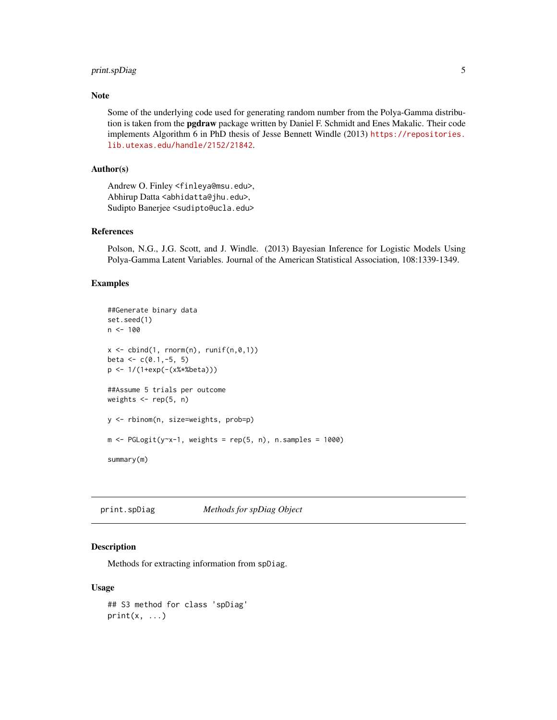## <span id="page-4-0"></span>print.spDiag 5

#### Note

Some of the underlying code used for generating random number from the Polya-Gamma distribution is taken from the **pgdraw** package written by Daniel F. Schmidt and Enes Makalic. Their code implements Algorithm 6 in PhD thesis of Jesse Bennett Windle (2013) [https://repositories.](https://repositories.lib.utexas.edu/handle/2152/21842) [lib.utexas.edu/handle/2152/21842](https://repositories.lib.utexas.edu/handle/2152/21842).

## Author(s)

Andrew O. Finley <finleya@msu.edu>, Abhirup Datta <abhidatta@jhu.edu>, Sudipto Banerjee <sudipto@ucla.edu>

## References

Polson, N.G., J.G. Scott, and J. Windle. (2013) Bayesian Inference for Logistic Models Using Polya-Gamma Latent Variables. Journal of the American Statistical Association, 108:1339-1349.

#### Examples

```
##Generate binary data
set.seed(1)
n < - 100x \le cbind(1, rnorm(n), runif(n,0,1))
beta \leq c(0.1,-5, 5)p <- 1/(1+exp(-(x%*%beta)))
##Assume 5 trials per outcome
weights <- rep(5, n)
y <- rbinom(n, size=weights, prob=p)
m \leq PGLogit(y \leq -1), weights = rep(5, n), n.samples = 1000)
summary(m)
```
print.spDiag *Methods for spDiag Object*

#### **Description**

Methods for extracting information from spDiag.

#### Usage

```
## S3 method for class 'spDiag'
print(x, \ldots)
```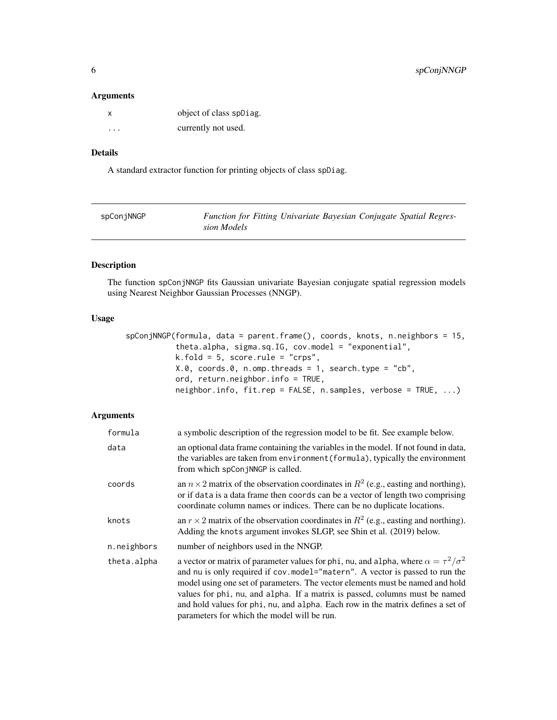#### <span id="page-5-0"></span>Arguments

| X       | object of class spDiag. |
|---------|-------------------------|
| $\cdot$ | currently not used.     |

## Details

A standard extractor function for printing objects of class spDiag.

| spConjNNGP | Function for Fitting Univariate Bayesian Conjugate Spatial Regres- |  |  |  |
|------------|--------------------------------------------------------------------|--|--|--|
|            | sion Models                                                        |  |  |  |

## Description

The function spConjNNGP fits Gaussian univariate Bayesian conjugate spatial regression models using Nearest Neighbor Gaussian Processes (NNGP).

## Usage

```
spConjNNGP(formula, data = parent.frame(), coords, knots, n.neighbors = 15,
           theta.alpha, sigma.sq.IG, cov.model = "exponential",
           k.fold = 5, score.rule = "crps",
           X.0, coords.0, n.omp.threads = 1, search.type = "cb",
          ord, return.neighbor.info = TRUE,
           neighbor.info, fit.rep = FALSE, n.samples, verbose = TRUE, ...)
```
## Arguments

| formula     | a symbolic description of the regression model to be fit. See example below.                                                                                                                                                                                                                                                                                                                                                                                                      |
|-------------|-----------------------------------------------------------------------------------------------------------------------------------------------------------------------------------------------------------------------------------------------------------------------------------------------------------------------------------------------------------------------------------------------------------------------------------------------------------------------------------|
| data        | an optional data frame containing the variables in the model. If not found in data,<br>the variables are taken from environment (formula), typically the environment<br>from which spConjNNGP is called.                                                                                                                                                                                                                                                                          |
| coords      | an $n \times 2$ matrix of the observation coordinates in $R^2$ (e.g., easting and northing),<br>or if data is a data frame then coords can be a vector of length two comprising<br>coordinate column names or indices. There can be no duplicate locations.                                                                                                                                                                                                                       |
| knots       | an $r \times 2$ matrix of the observation coordinates in $R^2$ (e.g., easting and northing).<br>Adding the knots argument invokes SLGP, see Shin et al. (2019) below.                                                                                                                                                                                                                                                                                                             |
| n.neighbors | number of neighbors used in the NNGP.                                                                                                                                                                                                                                                                                                                                                                                                                                             |
| theta.alpha | a vector or matrix of parameter values for phi, nu, and alpha, where $\alpha = \tau^2/\sigma^2$<br>and nu is only required if cov.model="matern". A vector is passed to run the<br>model using one set of parameters. The vector elements must be named and hold<br>values for phi, nu, and alpha. If a matrix is passed, columns must be named<br>and hold values for phi, nu, and alpha. Each row in the matrix defines a set of<br>parameters for which the model will be run. |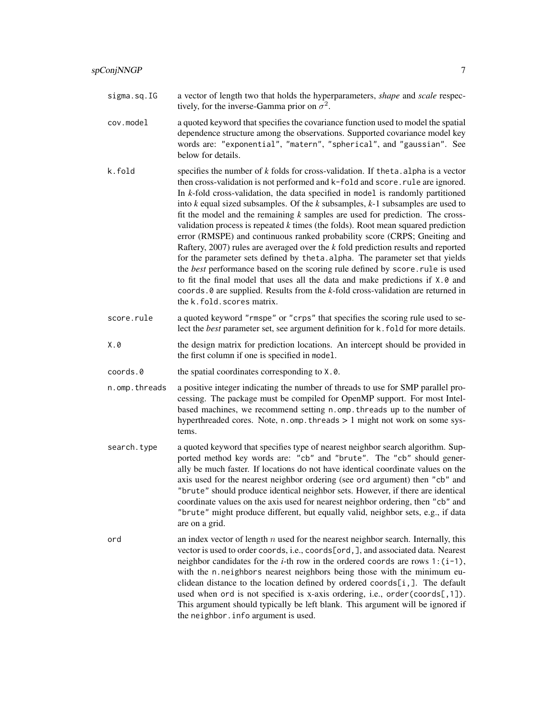- sigma.sq.IG a vector of length two that holds the hyperparameters, *shape* and *scale* respectively, for the inverse-Gamma prior on  $\sigma^2$ .
- cov.model a quoted keyword that specifies the covariance function used to model the spatial dependence structure among the observations. Supported covariance model key words are: "exponential", "matern", "spherical", and "gaussian". See below for details.
- k.fold specifies the number of *k* folds for cross-validation. If theta.alpha is a vector then cross-validation is not performed and k-fold and score.rule are ignored. In *k*-fold cross-validation, the data specified in model is randomly partitioned into *k* equal sized subsamples. Of the *k* subsamples, *k*-1 subsamples are used to fit the model and the remaining *k* samples are used for prediction. The crossvalidation process is repeated *k* times (the folds). Root mean squared prediction error (RMSPE) and continuous ranked probability score (CRPS; Gneiting and Raftery, 2007) rules are averaged over the *k* fold prediction results and reported for the parameter sets defined by theta.alpha. The parameter set that yields the *best* performance based on the scoring rule defined by score.rule is used to fit the final model that uses all the data and make predictions if X.0 and coords.0 are supplied. Results from the *k*-fold cross-validation are returned in the k.fold.scores matrix.
- score.rule a quoted keyword "rmspe" or "crps" that specifies the scoring rule used to select the *best* parameter set, see argument definition for k.fold for more details.
- X.0 the design matrix for prediction locations. An intercept should be provided in the first column if one is specified in model.
- coords.0 the spatial coordinates corresponding to X.0.
- n.omp.threads a positive integer indicating the number of threads to use for SMP parallel processing. The package must be compiled for OpenMP support. For most Intelbased machines, we recommend setting n.omp.threads up to the number of hyperthreaded cores. Note, n.omp.threads > 1 might not work on some systems.
- search.type a quoted keyword that specifies type of nearest neighbor search algorithm. Supported method key words are: "cb" and "brute". The "cb" should generally be much faster. If locations do not have identical coordinate values on the axis used for the nearest neighbor ordering (see ord argument) then "cb" and "brute" should produce identical neighbor sets. However, if there are identical coordinate values on the axis used for nearest neighbor ordering, then "cb" and "brute" might produce different, but equally valid, neighbor sets, e.g., if data are on a grid.
- ord an index vector of length n used for the nearest neighbor search. Internally, this vector is used to order coords, i.e., coords[ord,], and associated data. Nearest neighbor candidates for the *i*-th row in the ordered coords are rows  $1:(i-1)$ , with the n.neighbors nearest neighbors being those with the minimum euclidean distance to the location defined by ordered coords $[i,].$  The default used when ord is not specified is x-axis ordering, i.e., order(coords[,1]). This argument should typically be left blank. This argument will be ignored if the neighbor.info argument is used.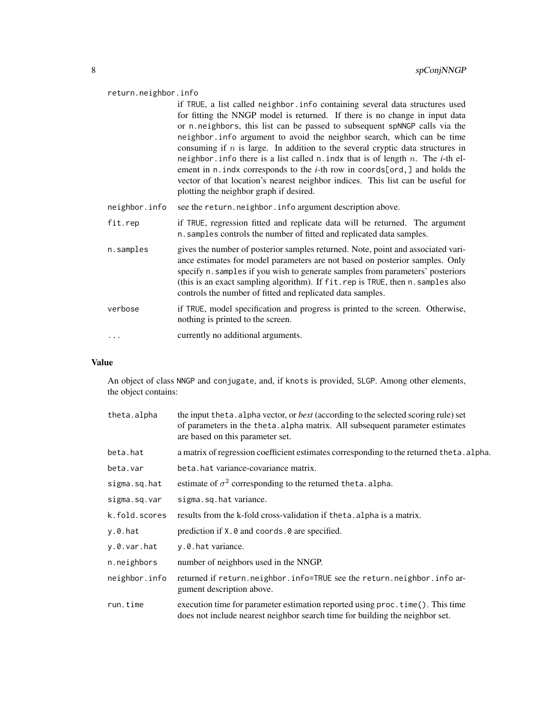#### return.neighbor.info

if TRUE, a list called neighbor.info containing several data structures used for fitting the NNGP model is returned. If there is no change in input data or n.neighbors, this list can be passed to subsequent spNNGP calls via the neighbor.info argument to avoid the neighbor search, which can be time consuming if  $n$  is large. In addition to the several cryptic data structures in neighbor.info there is a list called n.indx that is of length n. The *i*-th element in n.indx corresponds to the *i*-th row in coords[ord,] and holds the vector of that location's nearest neighbor indices. This list can be useful for plotting the neighbor graph if desired.

- neighbor.info see the return.neighbor.info argument description above.
- fit.rep if TRUE, regression fitted and replicate data will be returned. The argument n.samples controls the number of fitted and replicated data samples.
- n.samples gives the number of posterior samples returned. Note, point and associated variance estimates for model parameters are not based on posterior samples. Only specify n.samples if you wish to generate samples from parameters' posteriors (this is an exact sampling algorithm). If fit.rep is TRUE, then n.samples also controls the number of fitted and replicated data samples.
- verbose if TRUE, model specification and progress is printed to the screen. Otherwise, nothing is printed to the screen.
- ... currently no additional arguments.

#### Value

An object of class NNGP and conjugate, and, if knots is provided, SLGP. Among other elements, the object contains:

| theta.alpha   | the input the ta. alpha vector, or <i>best</i> (according to the selected scoring rule) set<br>of parameters in the theta. alpha matrix. All subsequent parameter estimates<br>are based on this parameter set. |  |  |
|---------------|-----------------------------------------------------------------------------------------------------------------------------------------------------------------------------------------------------------------|--|--|
| beta.hat      | a matrix of regression coefficient estimates corresponding to the returned theta. alpha.                                                                                                                        |  |  |
| beta.var      | beta, hat variance-covariance matrix.                                                                                                                                                                           |  |  |
| sigma.sq.hat  | estimate of $\sigma^2$ corresponding to the returned theta. alpha.                                                                                                                                              |  |  |
| sigma.sq.var  | sigma.sq.hat variance.                                                                                                                                                                                          |  |  |
| k.fold.scores | results from the k-fold cross-validation if the ta. alpha is a matrix.                                                                                                                                          |  |  |
| $y.0.$ hat    | prediction if X.0 and coords.0 are specified.                                                                                                                                                                   |  |  |
| y.0.var.hat   | y.0. hat variance.                                                                                                                                                                                              |  |  |
| n.neighbors   | number of neighbors used in the NNGP.                                                                                                                                                                           |  |  |
| neighbor.info | returned if return.neighbor.info=TRUE see the return.neighbor.info ar-<br>gument description above.                                                                                                             |  |  |
| run.time      | execution time for parameter estimation reported using proc. time(). This time<br>does not include nearest neighbor search time for building the neighbor set.                                                  |  |  |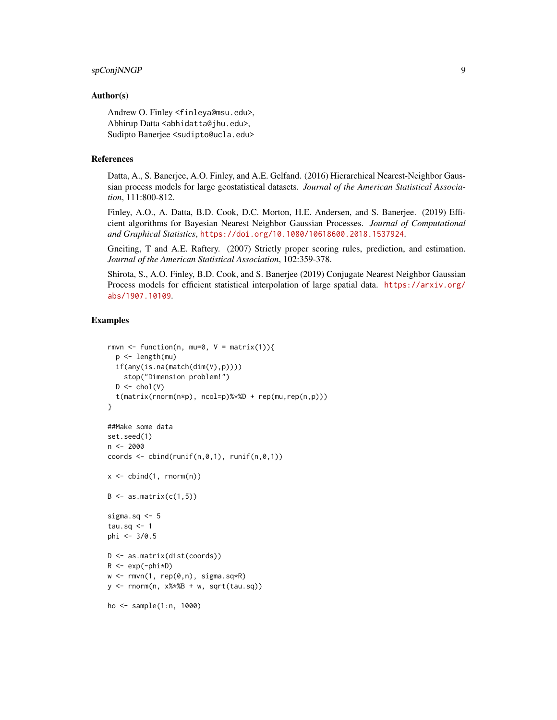#### spConjNNGP 9

#### Author(s)

Andrew O. Finley <finleya@msu.edu>, Abhirup Datta <abhidatta@jhu.edu>, Sudipto Banerjee <sudipto@ucla.edu>

#### References

Datta, A., S. Banerjee, A.O. Finley, and A.E. Gelfand. (2016) Hierarchical Nearest-Neighbor Gaussian process models for large geostatistical datasets. *Journal of the American Statistical Association*, 111:800-812.

Finley, A.O., A. Datta, B.D. Cook, D.C. Morton, H.E. Andersen, and S. Banerjee. (2019) Efficient algorithms for Bayesian Nearest Neighbor Gaussian Processes. *Journal of Computational and Graphical Statistics*, <https://doi.org/10.1080/10618600.2018.1537924>.

Gneiting, T and A.E. Raftery. (2007) Strictly proper scoring rules, prediction, and estimation. *Journal of the American Statistical Association*, 102:359-378.

Shirota, S., A.O. Finley, B.D. Cook, and S. Banerjee (2019) Conjugate Nearest Neighbor Gaussian Process models for efficient statistical interpolation of large spatial data. [https://arxiv.org/](https://arxiv.org/abs/1907.10109) [abs/1907.10109](https://arxiv.org/abs/1907.10109).

#### Examples

```
rmvn <- function(n, mu=0, V = matrix(1)){
  p <- length(mu)
  if(any(is.na(match(dim(V),p))))
    stop("Dimension problem!")
  D \leftarrow \text{chol}(V)t(matrix(rnorm(n*p), ncol=p)%*%D + rep(mu,rep(n,p)))
}
##Make some data
set.seed(1)
n <- 2000
coords \leq cbind(runif(n,0,1), runif(n,0,1))
x \le cbind(1, rnorm(n))
B \leq -as.matrix(c(1,5))
sigma.sq <- 5
tau.sq <- 1
phi <- 3/0.5
D <- as.matrix(dist(coords))
R \leftarrow \exp(-\pi h i \times D)w \leq -rmvn(1, rep(0,n), signa.sq*R)y \le - rnorm(n, x\ \#B + w, sqrt(tau.sq))
ho <- sample(1:n, 1000)
```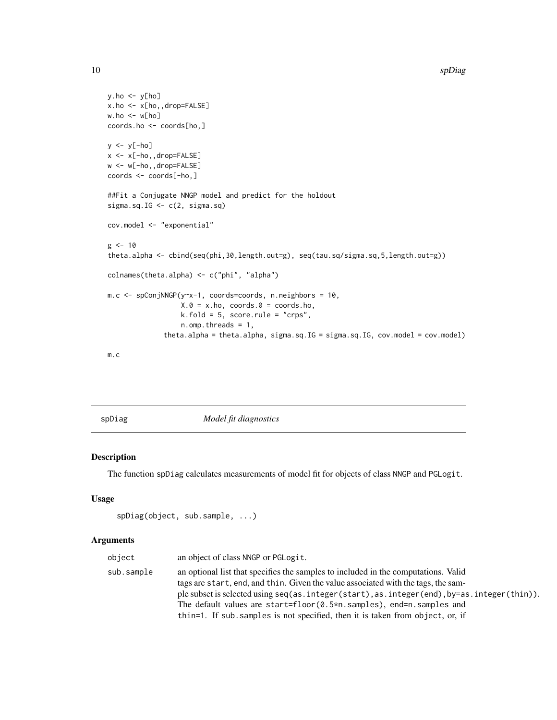```
y.ho \leftarrow y[ho]x.ho <- x[ho,,drop=FALSE]
w.ho \leq w[ho]coords.ho <- coords[ho,]
y <- y[-ho]
x <- x[-ho,,drop=FALSE]
w <- w[-ho,,drop=FALSE]
coords <- coords[-ho,]
##Fit a Conjugate NNGP model and predict for the holdout
sigma.sq.IG \leq c(2, sigma.sq)
cov.model <- "exponential"
g <- 10
theta.alpha <- cbind(seq(phi,30,length.out=g), seq(tau.sq/sigma.sq,5,length.out=g))
colnames(theta.alpha) <- c("phi", "alpha")
m.c <- spConjNNGP(y~x-1, coords=coords, n.neighbors = 10,
                  X.0 = X.ho, coords.0 = \text{coords.ho},
                  k.fold = 5, score.rule = "crps",
                  n.omp.threads = 1,
              theta.alpha = theta.alpha, sigma.sq.IG = sigma.sq.IG, cov.model = cov.model)
```
m.c

spDiag *Model fit diagnostics*

#### Description

The function spDiag calculates measurements of model fit for objects of class NNGP and PGLogit.

#### Usage

```
spDiag(object, sub.sample, ...)
```
## Arguments

| object     | an object of class NNGP or PGLogit.                                                        |
|------------|--------------------------------------------------------------------------------------------|
| sub.sample | an optional list that specifies the samples to included in the computations. Valid         |
|            | tags are start, end, and thin. Given the value associated with the tags, the sam-          |
|            | ple subset is selected using seq(as.integer(start), as.integer(end), by=as.integer(thin)). |
|            | The default values are start=floor( $0.5 \times n$ . samples), end=n. samples and          |
|            | thin=1. If sub samples is not specified, then it is taken from object, or, if              |
|            |                                                                                            |

<span id="page-9-0"></span>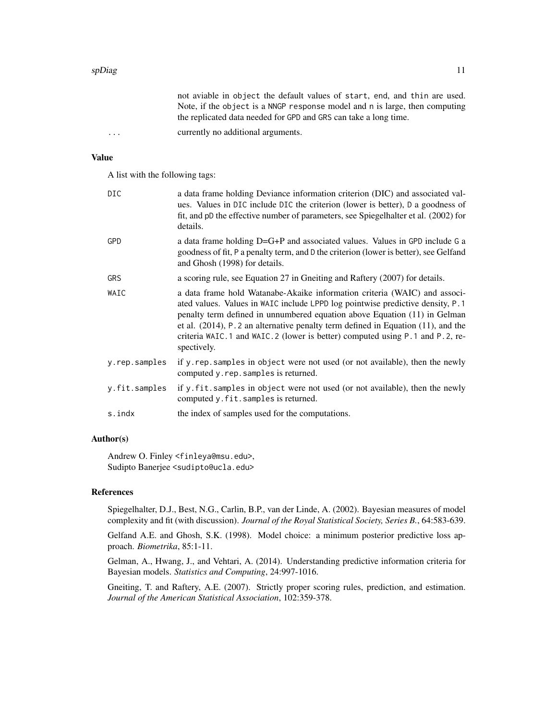|                         | not aviable in object the default values of start, end, and thin are used.  |
|-------------------------|-----------------------------------------------------------------------------|
|                         | Note, if the object is a NNGP response model and n is large, then computing |
|                         | the replicated data needed for GPD and GRS can take a long time.            |
| $\cdot$ $\cdot$ $\cdot$ | currently no additional arguments.                                          |

#### Value

A list with the following tags:

| <b>DIC</b>    | a data frame holding Deviance information criterion (DIC) and associated val-<br>ues. Values in DIC include DIC the criterion (lower is better), D a goodness of<br>fit, and pD the effective number of parameters, see Spiegelhalter et al. (2002) for<br>details.                                                                                                                                                                |
|---------------|------------------------------------------------------------------------------------------------------------------------------------------------------------------------------------------------------------------------------------------------------------------------------------------------------------------------------------------------------------------------------------------------------------------------------------|
| GPD           | a data frame holding D=G+P and associated values. Values in GPD include G a<br>goodness of fit, P a penalty term, and D the criterion (lower is better), see Gelfand<br>and Ghosh (1998) for details.                                                                                                                                                                                                                              |
| <b>GRS</b>    | a scoring rule, see Equation 27 in Gneiting and Raftery (2007) for details.                                                                                                                                                                                                                                                                                                                                                        |
| WAIC          | a data frame hold Watanabe-Akaike information criteria (WAIC) and associ-<br>ated values. Values in WAIC include LPPD log pointwise predictive density, P.1<br>penalty term defined in unnumbered equation above Equation (11) in Gelman<br>et al. $(2014)$ , P. 2 an alternative penalty term defined in Equation $(11)$ , and the<br>criteria WAIC.1 and WAIC.2 (lower is better) computed using P.1 and P.2, re-<br>spectively. |
| y.rep.samples | if y rep samples in object were not used (or not available), then the newly<br>computed y.rep.samples is returned.                                                                                                                                                                                                                                                                                                                 |
| y.fit.samples | if y. fit. samples in object were not used (or not available), then the newly<br>computed y.fit.samples is returned.                                                                                                                                                                                                                                                                                                               |
| s.indx        | the index of samples used for the computations.                                                                                                                                                                                                                                                                                                                                                                                    |

#### Author(s)

Andrew O. Finley <finleya@msu.edu>, Sudipto Banerjee <sudipto@ucla.edu>

#### References

Spiegelhalter, D.J., Best, N.G., Carlin, B.P., van der Linde, A. (2002). Bayesian measures of model complexity and fit (with discussion). *Journal of the Royal Statistical Society, Series B.*, 64:583-639.

Gelfand A.E. and Ghosh, S.K. (1998). Model choice: a minimum posterior predictive loss approach. *Biometrika*, 85:1-11.

Gelman, A., Hwang, J., and Vehtari, A. (2014). Understanding predictive information criteria for Bayesian models. *Statistics and Computing*, 24:997-1016.

Gneiting, T. and Raftery, A.E. (2007). Strictly proper scoring rules, prediction, and estimation. *Journal of the American Statistical Association*, 102:359-378.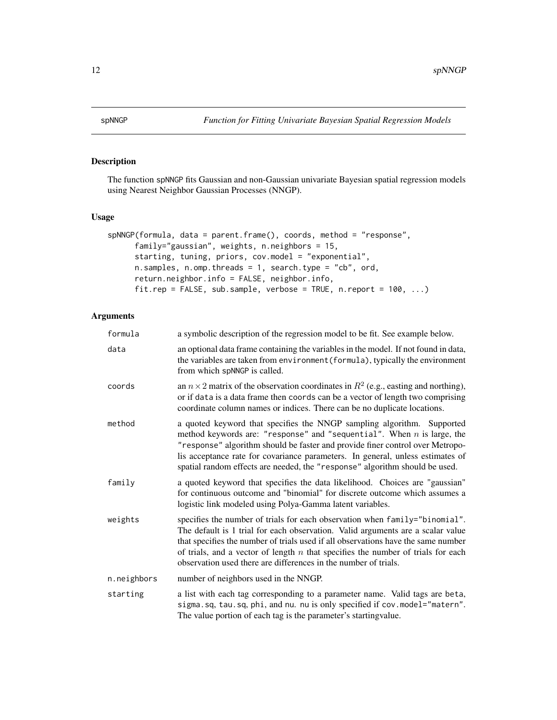<span id="page-11-0"></span>

## Description

The function spNNGP fits Gaussian and non-Gaussian univariate Bayesian spatial regression models using Nearest Neighbor Gaussian Processes (NNGP).

#### Usage

```
spNNGP(formula, data = parent.frame(), coords, method = "response",
     family="gaussian", weights, n.neighbors = 15,
     starting, tuning, priors, cov.model = "exponential",
     n.samples, n.omp.threads = 1, search.type = "cb", ord,
     return.neighbor.info = FALSE, neighbor.info,
     fit.rep = FALSE, sub.sample, verbose = TRUE, n.report = 100, ...)
```
## Arguments

| formula     | a symbolic description of the regression model to be fit. See example below.                                                                                                                                                                                                                                                                                                                                 |
|-------------|--------------------------------------------------------------------------------------------------------------------------------------------------------------------------------------------------------------------------------------------------------------------------------------------------------------------------------------------------------------------------------------------------------------|
| data        | an optional data frame containing the variables in the model. If not found in data,<br>the variables are taken from environment (formula), typically the environment<br>from which spNNGP is called.                                                                                                                                                                                                         |
| coords      | an $n \times 2$ matrix of the observation coordinates in $R^2$ (e.g., easting and northing),<br>or if data is a data frame then coords can be a vector of length two comprising<br>coordinate column names or indices. There can be no duplicate locations.                                                                                                                                                  |
| method      | a quoted keyword that specifies the NNGP sampling algorithm. Supported<br>method keywords are: "response" and "sequential". When $n$ is large, the<br>"response" algorithm should be faster and provide finer control over Metropo-<br>lis acceptance rate for covariance parameters. In general, unless estimates of<br>spatial random effects are needed, the "response" algorithm should be used.         |
| family      | a quoted keyword that specifies the data likelihood. Choices are "gaussian"<br>for continuous outcome and "binomial" for discrete outcome which assumes a<br>logistic link modeled using Polya-Gamma latent variables.                                                                                                                                                                                       |
| weights     | specifies the number of trials for each observation when family="binomial".<br>The default is 1 trial for each observation. Valid arguments are a scalar value<br>that specifies the number of trials used if all observations have the same number<br>of trials, and a vector of length $n$ that specifies the number of trials for each<br>observation used there are differences in the number of trials. |
| n.neighbors | number of neighbors used in the NNGP.                                                                                                                                                                                                                                                                                                                                                                        |
| starting    | a list with each tag corresponding to a parameter name. Valid tags are beta,<br>sigma.sq, tau.sq, phi, and nu. nu is only specified if cov.model="matern".<br>The value portion of each tag is the parameter's starting value.                                                                                                                                                                               |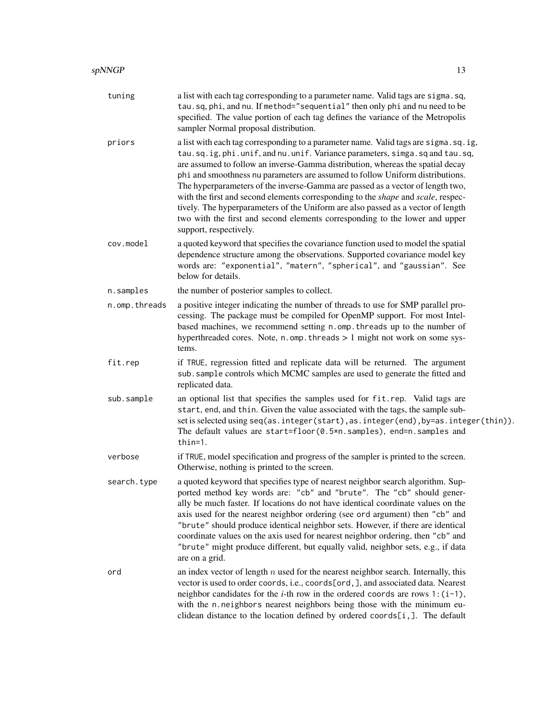| tuning        | a list with each tag corresponding to a parameter name. Valid tags are sigma.sq,<br>tau.sq, phi, and nu. If method="sequential" then only phi and nu need to be<br>specified. The value portion of each tag defines the variance of the Metropolis<br>sampler Normal proposal distribution.                                                                                                                                                                                                                                                                                                                                                                                                              |
|---------------|----------------------------------------------------------------------------------------------------------------------------------------------------------------------------------------------------------------------------------------------------------------------------------------------------------------------------------------------------------------------------------------------------------------------------------------------------------------------------------------------------------------------------------------------------------------------------------------------------------------------------------------------------------------------------------------------------------|
| priors        | a list with each tag corresponding to a parameter name. Valid tags are sigma.sq.ig,<br>tau.sq.ig, phi.unif, and nu.unif. Variance parameters, simga.sq and tau.sq,<br>are assumed to follow an inverse-Gamma distribution, whereas the spatial decay<br>phi and smoothness nu parameters are assumed to follow Uniform distributions.<br>The hyperparameters of the inverse-Gamma are passed as a vector of length two,<br>with the first and second elements corresponding to the shape and scale, respec-<br>tively. The hyperparameters of the Uniform are also passed as a vector of length<br>two with the first and second elements corresponding to the lower and upper<br>support, respectively. |
| cov.model     | a quoted keyword that specifies the covariance function used to model the spatial<br>dependence structure among the observations. Supported covariance model key<br>words are: "exponential", "matern", "spherical", and "gaussian". See<br>below for details.                                                                                                                                                                                                                                                                                                                                                                                                                                           |
| n.samples     | the number of posterior samples to collect.                                                                                                                                                                                                                                                                                                                                                                                                                                                                                                                                                                                                                                                              |
| n.omp.threads | a positive integer indicating the number of threads to use for SMP parallel pro-<br>cessing. The package must be compiled for OpenMP support. For most Intel-<br>based machines, we recommend setting n.omp. threads up to the number of<br>hyperthreaded cores. Note, n.omp. threads > 1 might not work on some sys-<br>tems.                                                                                                                                                                                                                                                                                                                                                                           |
| fit.rep       | if TRUE, regression fitted and replicate data will be returned. The argument<br>sub. sample controls which MCMC samples are used to generate the fitted and<br>replicated data.                                                                                                                                                                                                                                                                                                                                                                                                                                                                                                                          |
| sub.sample    | an optional list that specifies the samples used for fit.rep. Valid tags are<br>start, end, and thin. Given the value associated with the tags, the sample sub-<br>set is selected using seq(as.integer(start), as.integer(end), by=as.integer(thin)).<br>The default values are start=floor(0.5*n.samples), end=n.samples and<br>thin=1.                                                                                                                                                                                                                                                                                                                                                                |
| verbose       | if TRUE, model specification and progress of the sampler is printed to the screen.<br>Otherwise, nothing is printed to the screen.                                                                                                                                                                                                                                                                                                                                                                                                                                                                                                                                                                       |
| search.type   | a quoted keyword that specifies type of nearest neighbor search algorithm. Sup-<br>ported method key words are: "cb" and "brute". The "cb" should gener-<br>ally be much faster. If locations do not have identical coordinate values on the<br>axis used for the nearest neighbor ordering (see ord argument) then "cb" and<br>"brute" should produce identical neighbor sets. However, if there are identical<br>coordinate values on the axis used for nearest neighbor ordering, then "cb" and<br>"brute" might produce different, but equally valid, neighbor sets, e.g., if data<br>are on a grid.                                                                                                 |
| ord           | an index vector of length $n$ used for the nearest neighbor search. Internally, this<br>vector is used to order coords, i.e., coords[ord,], and associated data. Nearest<br>neighbor candidates for the <i>i</i> -th row in the ordered coords are rows $1:(i-1)$ ,<br>with the n.neighbors nearest neighbors being those with the minimum eu-<br>clidean distance to the location defined by ordered coords[i,]. The default                                                                                                                                                                                                                                                                            |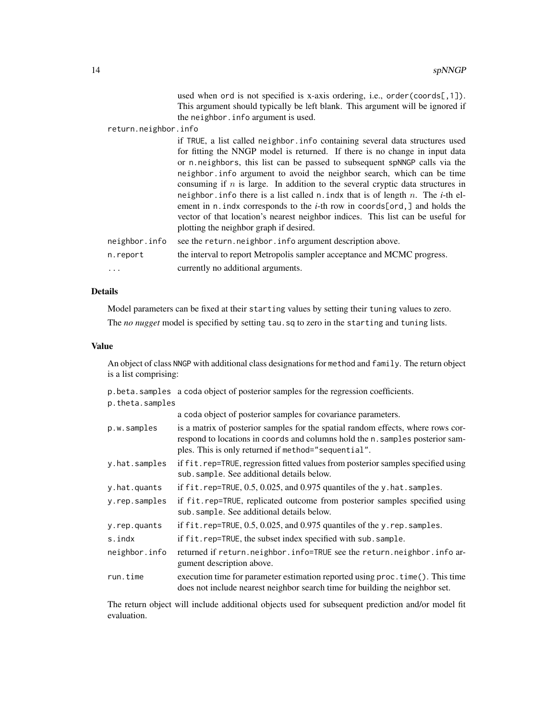used when ord is not specified is x-axis ordering, i.e., order(coords[,1]). This argument should typically be left blank. This argument will be ignored if the neighbor.info argument is used.

return.neighbor.info

|               | if TRUE, a list called neighbor. info containing several data structures used                 |
|---------------|-----------------------------------------------------------------------------------------------|
|               | for fitting the NNGP model is returned. If there is no change in input data                   |
|               | or n. neighbors, this list can be passed to subsequent spNNGP calls via the                   |
|               | neighbor. info argument to avoid the neighbor search, which can be time                       |
|               | consuming if $n$ is large. In addition to the several cryptic data structures in              |
|               | neighbor. info there is a list called $n$ . indx that is of length $n$ . The <i>i</i> -th el- |
|               | ement in n. indx corresponds to the <i>i</i> -th row in coords[ord,] and holds the            |
|               | vector of that location's nearest neighbor indices. This list can be useful for               |
|               | plotting the neighbor graph if desired.                                                       |
| neighbor.info | see the return, neighbor, info argument description above.                                    |
|               |                                                                                               |

| n.report | the interval to report Metropolis sampler acceptance and MCMC progress. |
|----------|-------------------------------------------------------------------------|
| .        | currently no additional arguments.                                      |

## Details

Model parameters can be fixed at their starting values by setting their tuning values to zero.

The *no nugget* model is specified by setting tau.sq to zero in the starting and tuning lists.

#### Value

An object of class NNGP with additional class designations for method and family. The return object is a list comprising:

|                 | p. beta. samples a coda object of posterior samples for the regression coefficients.                                                                                                                                     |
|-----------------|--------------------------------------------------------------------------------------------------------------------------------------------------------------------------------------------------------------------------|
| p.theta.samples |                                                                                                                                                                                                                          |
|                 | a coda object of posterior samples for covariance parameters.                                                                                                                                                            |
| p.w.samples     | is a matrix of posterior samples for the spatial random effects, where rows cor-<br>respond to locations in coords and columns hold the n. samples posterior sam-<br>ples. This is only returned if method="sequential". |
| y.hat.samples   | if fit.rep=TRUE, regression fitted values from posterior samples specified using<br>sub. sample. See additional details below.                                                                                           |
| y.hat.quants    | if $fit$ . rep=TRUE, $0.5$ , $0.025$ , and $0.975$ quantiles of the y. hat. samples.                                                                                                                                     |
| y.rep.samples   | if fit.rep=TRUE, replicated outcome from posterior samples specified using<br>sub.sample. See additional details below.                                                                                                  |
| y.rep.quants    | if fit.rep=TRUE, 0.5, 0.025, and 0.975 quantiles of the y.rep.samples.                                                                                                                                                   |
| s.indx          | if fit.rep=TRUE, the subset index specified with sub.sample.                                                                                                                                                             |
| neighbor.info   | returned if return.neighbor.info=TRUE see the return.neighbor.info ar-<br>gument description above.                                                                                                                      |
| run.time        | execution time for parameter estimation reported using proc. time (). This time<br>does not include nearest neighbor search time for building the neighbor set.                                                          |

The return object will include additional objects used for subsequent prediction and/or model fit evaluation.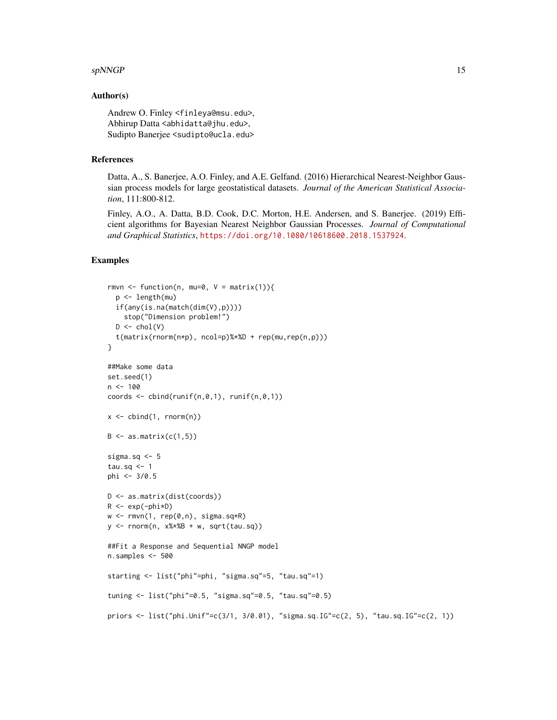#### $spNNGP$  15

#### Author(s)

Andrew O. Finley <finleya@msu.edu>, Abhirup Datta <abhidatta@jhu.edu>, Sudipto Banerjee <sudipto@ucla.edu>

#### References

Datta, A., S. Banerjee, A.O. Finley, and A.E. Gelfand. (2016) Hierarchical Nearest-Neighbor Gaussian process models for large geostatistical datasets. *Journal of the American Statistical Association*, 111:800-812.

Finley, A.O., A. Datta, B.D. Cook, D.C. Morton, H.E. Andersen, and S. Banerjee. (2019) Efficient algorithms for Bayesian Nearest Neighbor Gaussian Processes. *Journal of Computational and Graphical Statistics*, <https://doi.org/10.1080/10618600.2018.1537924>.

## Examples

```
rmvn <- function(n, mu=0, V = matrix(1)){
  p <- length(mu)
  if(any(is.na(match(dim(V),p))))
    stop("Dimension problem!")
  D \leftarrow \text{chol}(V)t(matrix(rnorm(n*p), ncol=p)%*%D + rep(mu,rep(n,p)))
}
##Make some data
set.seed(1)
n < -100coords \le cbind(runif(n,0,1), runif(n,0,1))
x \leftarrow \text{cbind}(1, \text{norm}(n))B \leq -as.matrix(c(1,5))
sigma.sq <-5tau.sq <-1phi <- 3/0.5
D <- as.matrix(dist(coords))
R \leftarrow \exp(-\text{phi} \cdot \text{p})w \leq -rmvn(1, rep(0,n), signa.sq*R)y \le - rnorm(n, x\ \#B + w, sqrt(tau.sq))
##Fit a Response and Sequential NNGP model
n.samples <- 500
starting <- list("phi"=phi, "sigma.sq"=5, "tau.sq"=1)
tuning <- list("phi"=0.5, "sigma.sq"=0.5, "tau.sq"=0.5)
priors <- list("phi.Unif"=c(3/1, 3/0.01), "sigma.sq.IG"=c(2, 5), "tau.sq.IG"=c(2, 1))
```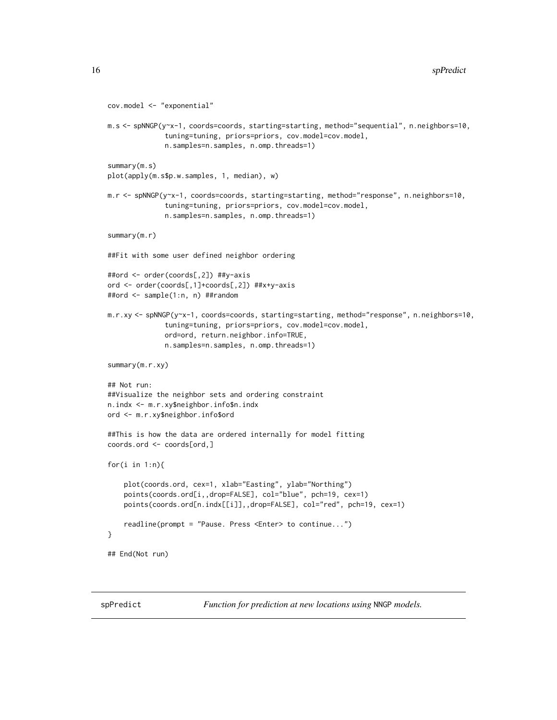```
cov.model <- "exponential"
m.s <- spNNGP(y~x-1, coords=coords, starting=starting, method="sequential", n.neighbors=10,
              tuning=tuning, priors=priors, cov.model=cov.model,
              n.samples=n.samples, n.omp.threads=1)
summary(m.s)
plot(apply(m.s$p.w.samples, 1, median), w)
m.r <- spNNGP(y~x-1, coords=coords, starting=starting, method="response", n.neighbors=10,
              tuning=tuning, priors=priors, cov.model=cov.model,
              n.samples=n.samples, n.omp.threads=1)
summary(m.r)
##Fit with some user defined neighbor ordering
##ord <- order(coords[,2]) ##y-axis
ord <- order(coords[,1]+coords[,2]) ##x+y-axis
##ord <- sample(1:n, n) ##random
m.r.xy <- spNNGP(y~x-1, coords=coords, starting=starting, method="response", n.neighbors=10,
              tuning=tuning, priors=priors, cov.model=cov.model,
              ord=ord, return.neighbor.info=TRUE,
              n.samples=n.samples, n.omp.threads=1)
summary(m.r.xy)
## Not run:
##Visualize the neighbor sets and ordering constraint
n.indx <- m.r.xy$neighbor.info$n.indx
ord <- m.r.xy$neighbor.info$ord
##This is how the data are ordered internally for model fitting
coords.ord <- coords[ord,]
for(i in 1:n){
    plot(coords.ord, cex=1, xlab="Easting", ylab="Northing")
    points(coords.ord[i,,drop=FALSE], col="blue", pch=19, cex=1)
    points(coords.ord[n.indx[[i]],,drop=FALSE], col="red", pch=19, cex=1)
    readline(prompt = "Pause. Press <Enter> to continue...")
}
## End(Not run)
```
spPredict *Function for prediction at new locations using* NNGP *models.*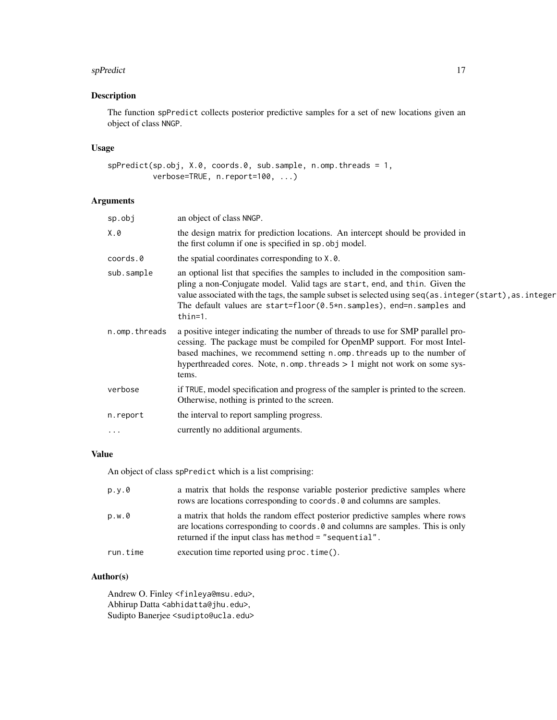#### <span id="page-16-0"></span>spPredict the state of the state of the state of the state of the state of the state of the state of the state of the state of the state of the state of the state of the state of the state of the state of the state of the

## Description

The function spPredict collects posterior predictive samples for a set of new locations given an object of class NNGP.

#### Usage

spPredict(sp.obj, X.0, coords.0, sub.sample, n.omp.threads = 1, verbose=TRUE, n.report=100, ...)

## Arguments

| $sp.$ obj     | an object of class NNGP.                                                                                                                                                                                                                                                                                                                                     |
|---------------|--------------------------------------------------------------------------------------------------------------------------------------------------------------------------------------------------------------------------------------------------------------------------------------------------------------------------------------------------------------|
| X.0           | the design matrix for prediction locations. An intercept should be provided in<br>the first column if one is specified in sp. obj model.                                                                                                                                                                                                                     |
| coords.0      | the spatial coordinates corresponding to X.0.                                                                                                                                                                                                                                                                                                                |
| sub.sample    | an optional list that specifies the samples to included in the composition sam-<br>pling a non-Conjugate model. Valid tags are start, end, and thin. Given the<br>value associated with the tags, the sample subset is selected using seq(as.integer(start), as.integer<br>The default values are start=floor(0.5*n.samples), end=n.samples and<br>$thin=1.$ |
| n.omp.threads | a positive integer indicating the number of threads to use for SMP parallel pro-<br>cessing. The package must be compiled for OpenMP support. For most Intel-<br>based machines, we recommend setting n.omp. threads up to the number of<br>hyperthreaded cores. Note, $n$ omp. threads $> 1$ might not work on some sys-<br>tems.                           |
| verbose       | if TRUE, model specification and progress of the sampler is printed to the screen.<br>Otherwise, nothing is printed to the screen.                                                                                                                                                                                                                           |
| n.report      | the interval to report sampling progress.                                                                                                                                                                                                                                                                                                                    |
| $\cdot$       | currently no additional arguments.                                                                                                                                                                                                                                                                                                                           |
|               |                                                                                                                                                                                                                                                                                                                                                              |

#### Value

An object of class spPredict which is a list comprising:

| p.y.0    | a matrix that holds the response variable posterior predictive samples where<br>rows are locations corresponding to coords. 0 and columns are samples.                                                                    |
|----------|---------------------------------------------------------------------------------------------------------------------------------------------------------------------------------------------------------------------------|
| p.w.0    | a matrix that holds the random effect posterior predictive samples where rows<br>are locations corresponding to coords. 0 and columns are samples. This is only<br>returned if the input class has method = "sequential". |
| run.time | execution time reported using $proc.time()$ .                                                                                                                                                                             |

## Author(s)

Andrew O. Finley <finleya@msu.edu>, Abhirup Datta <abhidatta@jhu.edu>, Sudipto Banerjee <sudipto@ucla.edu>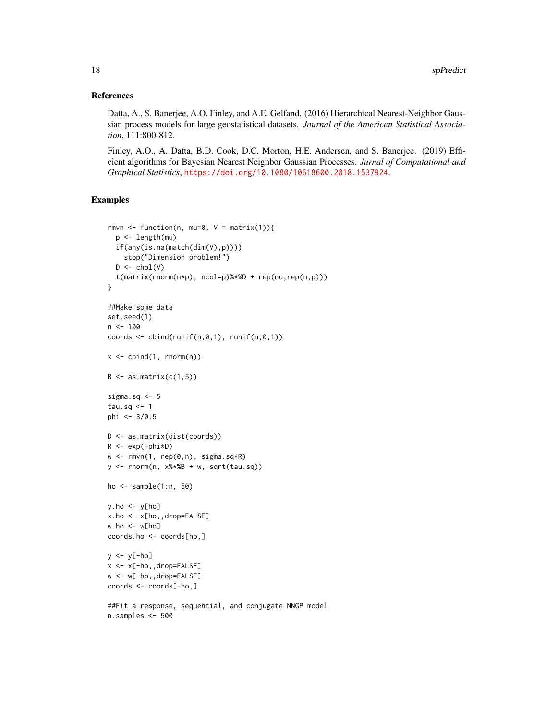#### References

Datta, A., S. Banerjee, A.O. Finley, and A.E. Gelfand. (2016) Hierarchical Nearest-Neighbor Gaussian process models for large geostatistical datasets. *Journal of the American Statistical Association*, 111:800-812.

Finley, A.O., A. Datta, B.D. Cook, D.C. Morton, H.E. Andersen, and S. Banerjee. (2019) Efficient algorithms for Bayesian Nearest Neighbor Gaussian Processes. *Jurnal of Computational and Graphical Statistics*, <https://doi.org/10.1080/10618600.2018.1537924>.

## Examples

```
rmvn <- function(n, mu=0, V = matrix(1)){
  p <- length(mu)
  if(any(is.na(match(dim(V),p))))
    stop("Dimension problem!")
  D \leftarrow \text{chol}(V)t(matrix(rnorm(n*p), ncol=p)%*%D + rep(mu,rep(n,p)))
}
##Make some data
set.seed(1)
n < -100coords \le cbind(runif(n,0,1), runif(n,0,1))
x \leftarrow \text{cbind}(1, \text{norm}(n))B \le -as.matrix(c(1,5))sigma.sq <- 5
tau.sq <- 1
phi <- 3/0.5
D <- as.matrix(dist(coords))
R \leftarrow \exp(-\text{phi} \cdot \text{p})w \leq -r m v n(1, rep(0,n), sigma.sq*R)y \le - rnorm(n, x\ \#B + w, sqrt(tau.sq))
ho <- sample(1:n, 50)
y.ho \leftarrow y[ho]x.ho <- x[ho,,drop=FALSE]
w.ho \leq w[ho]coords.ho <- coords[ho,]
y \leftarrow y[-ho]x <- x[-ho,,drop=FALSE]
w <- w[-ho,,drop=FALSE]
coords <- coords[-ho,]
##Fit a response, sequential, and conjugate NNGP model
n.samples <- 500
```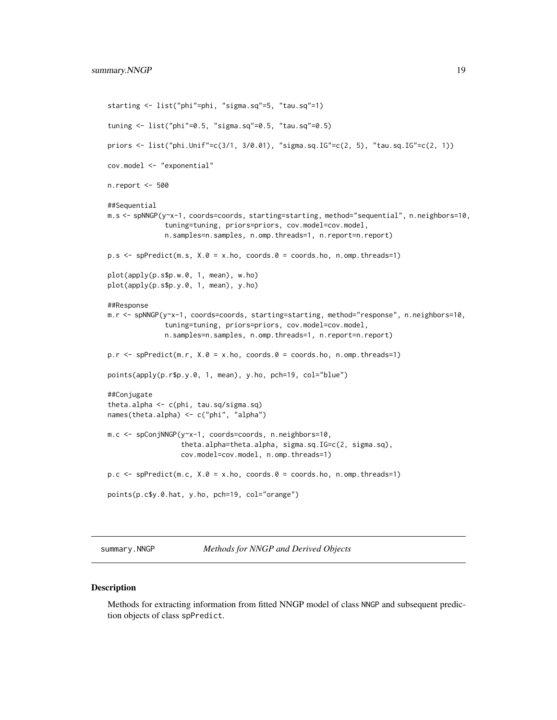```
starting <- list("phi"=phi, "sigma.sq"=5, "tau.sq"=1)
tuning <- list("phi"=0.5, "sigma.sq"=0.5, "tau.sq"=0.5)
priors <- list("phi.Unif"=c(3/1, 3/0.01), "sigma.sq.IG"=c(2, 5), "tau.sq.IG"=c(2, 1))
cov.model <- "exponential"
n.report <- 500
##Sequential
m.s <- spNNGP(y~x-1, coords=coords, starting=starting, method="sequential", n.neighbors=10,
              tuning=tuning, priors=priors, cov.model=cov.model,
              n.samples=n.samples, n.omp.threads=1, n.report=n.report)
p.s \leq spPredict(m.s, X.0 = x.ho, coords.0 = coords.ho, n.omp.threads=1)plot(apply(p.s$p.w.0, 1, mean), w.ho)
plot(apply(p.s$p.y.0, 1, mean), y.ho)
##Response
m.r <- spNNGP(y~x-1, coords=coords, starting=starting, method="response", n.neighbors=10,
              tuning=tuning, priors=priors, cov.model=cov.model,
              n.samples=n.samples, n.omp.threads=1, n.report=n.report)
p.r <- spPredict(m.r, X.0 = x.ho, coords.0 = coords.ho, n.omp.threads=1)
points(apply(p.r$p.y.0, 1, mean), y.ho, pch=19, col="blue")
##Conjugate
theta.alpha <- c(phi, tau.sq/sigma.sq)
names(theta.alpha) <- c("phi", "alpha")
m.c <- spConjNNGP(y~x-1, coords=coords, n.neighbors=10,
                  theta.alpha=theta.alpha, sigma.sq.IG=c(2, sigma.sq),
                  cov.model=cov.model, n.omp.threads=1)
p.c \leq spPredict(m.c, X.0 = x.ho, coords.0 = coords.ho, n.omp.threads=1)
points(p.c$y.0.hat, y.ho, pch=19, col="orange")
```
summary.NNGP *Methods for NNGP and Derived Objects*

#### **Description**

Methods for extracting information from fitted NNGP model of class NNGP and subsequent prediction objects of class spPredict.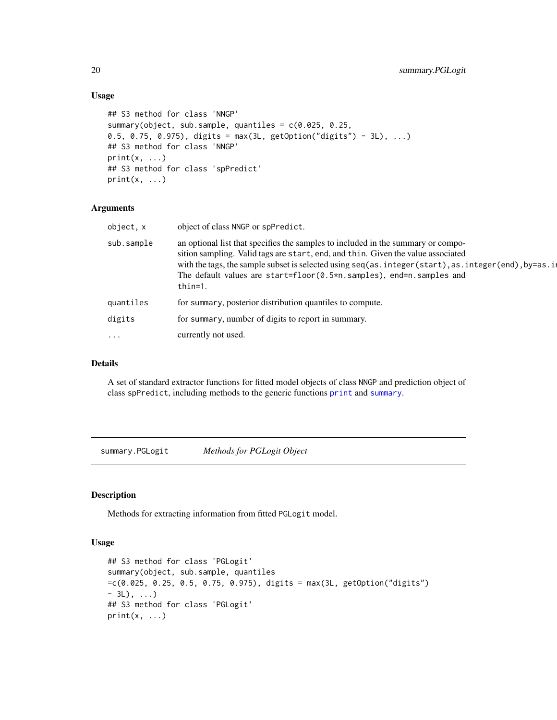#### Usage

```
## S3 method for class 'NNGP'
summary(object, sub.sample, quantiles = c(0.025, 0.25,
0.5, 0.75, 0.975), digits = max(3L, getOption("digits") - 3L), ...## S3 method for class 'NNGP'
print(x, \ldots)## S3 method for class 'spPredict'
print(x, \ldots)
```
#### Arguments

| object, x  | object of class NNGP or spPredict.                                                                                                                                                                                                                                                                                                                               |
|------------|------------------------------------------------------------------------------------------------------------------------------------------------------------------------------------------------------------------------------------------------------------------------------------------------------------------------------------------------------------------|
| sub.sample | an optional list that specifies the samples to included in the summary or compo-<br>sition sampling. Valid tags are start, end, and thin. Given the value associated<br>with the tags, the sample subset is selected using seq(as.integer(start), as.integer(end), by=as.il<br>The default values are start=floor(0.5*n.samples), end=n.samples and<br>$thin=1.$ |
| quantiles  | for summary, posterior distribution quantiles to compute.                                                                                                                                                                                                                                                                                                        |
| digits     | for summary, number of digits to report in summary.                                                                                                                                                                                                                                                                                                              |
| $\cdots$   | currently not used.                                                                                                                                                                                                                                                                                                                                              |

#### Details

A set of standard extractor functions for fitted model objects of class NNGP and prediction object of class spPredict, including methods to the generic functions [print](#page-0-0) and [summary](#page-0-0).

summary.PGLogit *Methods for PGLogit Object*

## Description

Methods for extracting information from fitted PGLogit model.

#### Usage

```
## S3 method for class 'PGLogit'
summary(object, sub.sample, quantiles
=c(0.025, 0.25, 0.5, 0.75, 0.975), digits = max(3L, getOption("digits")
- 3L), ...)
## S3 method for class 'PGLogit'
print(x, \ldots)
```
<span id="page-19-0"></span>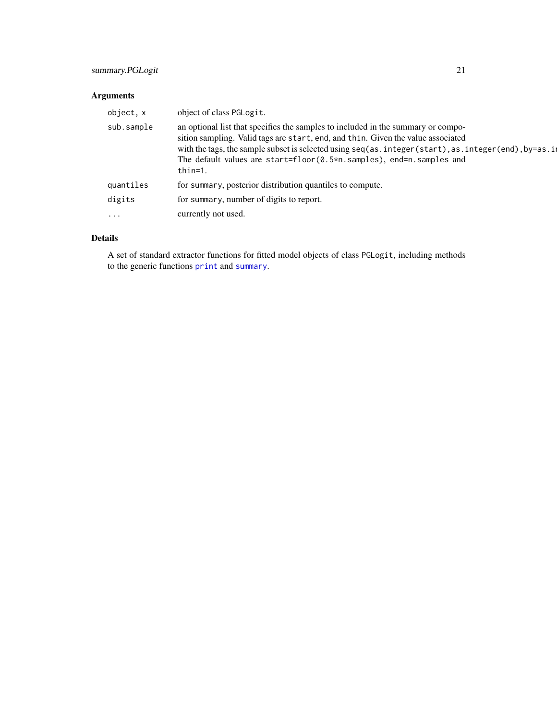## <span id="page-20-0"></span>Arguments

| object, x  | object of class PGLogit.                                                                                                                                                                                                                                                                                                                                         |
|------------|------------------------------------------------------------------------------------------------------------------------------------------------------------------------------------------------------------------------------------------------------------------------------------------------------------------------------------------------------------------|
| sub.sample | an optional list that specifies the samples to included in the summary or compo-<br>sition sampling. Valid tags are start, end, and thin. Given the value associated<br>with the tags, the sample subset is selected using seq(as.integer(start), as.integer(end), by=as.il<br>The default values are start=floor(0.5*n.samples), end=n.samples and<br>$thin=1.$ |
| quantiles  | for summary, posterior distribution quantiles to compute.                                                                                                                                                                                                                                                                                                        |
| digits     | for summary, number of digits to report.                                                                                                                                                                                                                                                                                                                         |
| $\cdots$   | currently not used.                                                                                                                                                                                                                                                                                                                                              |

## Details

A set of standard extractor functions for fitted model objects of class PGLogit, including methods to the generic functions [print](#page-0-0) and [summary](#page-0-0).